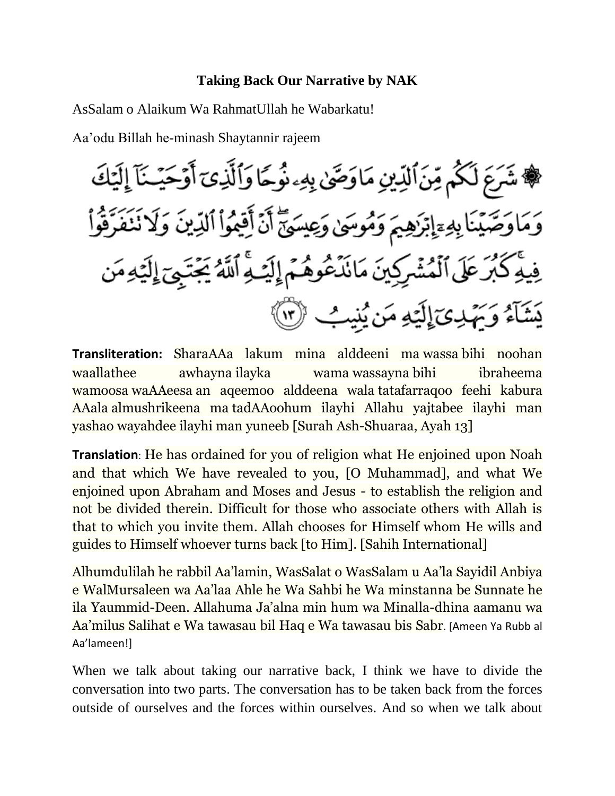## **Taking Back Our Narrative by NAK**

AsSalam o Alaikum Wa RahmatUllah he Wabarkatu!

Aa'odu Billah he-minash Shaytannir rajeem

**Transliteration:** SharaAAa lakum mina alddeeni ma wassa bihi noohan waallathee awhayna ilayka wama wassayna bihi ibraheema wamoosa waAAeesa an aqeemoo alddeena wala tatafarraqoo feehi kabura AAala almushrikeena ma tadAAoohum ilayhi Allahu yajtabee ilayhi man yashao wayahdee ilayhi man yuneeb [Surah Ash-Shuaraa, Ayah 13]

**Translation**: He has ordained for you of religion what He enjoined upon Noah and that which We have revealed to you, [O Muhammad], and what We enjoined upon Abraham and Moses and Jesus - to establish the religion and not be divided therein. Difficult for those who associate others with Allah is that to which you invite them. Allah chooses for Himself whom He wills and guides to Himself whoever turns back [to Him]. [Sahih International]

Alhumdulilah he rabbil Aa'lamin, WasSalat o WasSalam u Aa'la Sayidil Anbiya e WalMursaleen wa Aa'laa Ahle he Wa Sahbi he Wa minstanna be Sunnate he ila Yaummid-Deen. Allahuma Ja'alna min hum wa Minalla-dhina aamanu wa Aa'milus Salihat e Wa tawasau bil Haq e Wa tawasau bis Sabr. [Ameen Ya Rubb al Aa'lameen!]

When we talk about taking our narrative back, I think we have to divide the conversation into two parts. The conversation has to be taken back from the forces outside of ourselves and the forces within ourselves. And so when we talk about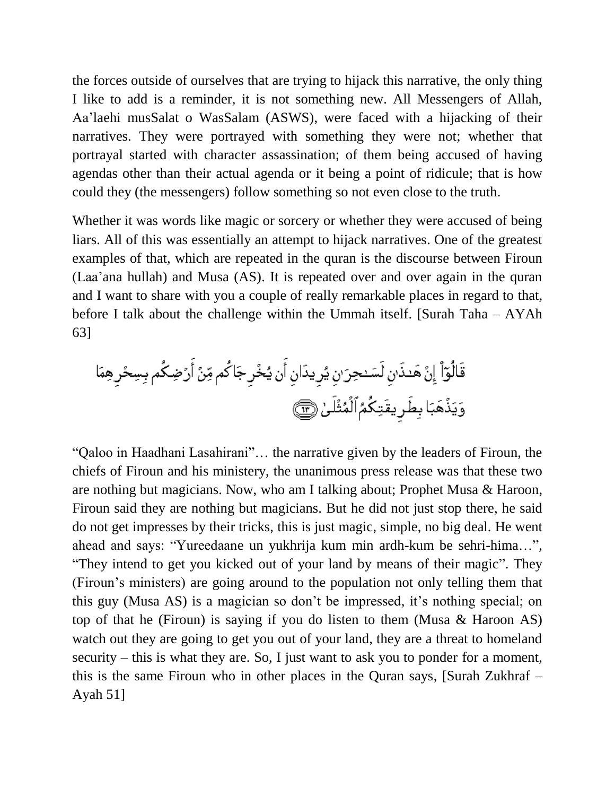the forces outside of ourselves that are trying to hijack this narrative, the only thing I like to add is a reminder, it is not something new. All Messengers of Allah, Aa'laehi musSalat o WasSalam (ASWS), were faced with a hijacking of their narratives. They were portrayed with something they were not; whether that portrayal started with character assassination; of them being accused of having agendas other than their actual agenda or it being a point of ridicule; that is how could they (the messengers) follow something so not even close to the truth.

Whether it was words like magic or sorcery or whether they were accused of being liars. All of this was essentially an attempt to hijack narratives. One of the greatest examples of that, which are repeated in the quran is the discourse between Firoun (Laa'ana hullah) and Musa (AS). It is repeated over and over again in the quran and I want to share with you a couple of really remarkable places in regard to that, before I talk about the challenge within the Ummah itself. [Surah Taha – AYAh 63]

"Qaloo in Haadhani Lasahirani"… the narrative given by the leaders of Firoun, the chiefs of Firoun and his ministery, the unanimous press release was that these two are nothing but magicians. Now, who am I talking about; Prophet Musa & Haroon, Firoun said they are nothing but magicians. But he did not just stop there, he said do not get impresses by their tricks, this is just magic, simple, no big deal. He went ahead and says: "Yureedaane un yukhrija kum min ardh-kum be sehri-hima…", "They intend to get you kicked out of your land by means of their magic". They (Firoun's ministers) are going around to the population not only telling them that this guy (Musa AS) is a magician so don't be impressed, it's nothing special; on top of that he (Firoun) is saying if you do listen to them (Musa & Haroon AS) watch out they are going to get you out of your land, they are a threat to homeland security – this is what they are. So, I just want to ask you to ponder for a moment, this is the same Firoun who in other places in the Quran says, [Surah Zukhraf – Ayah 51]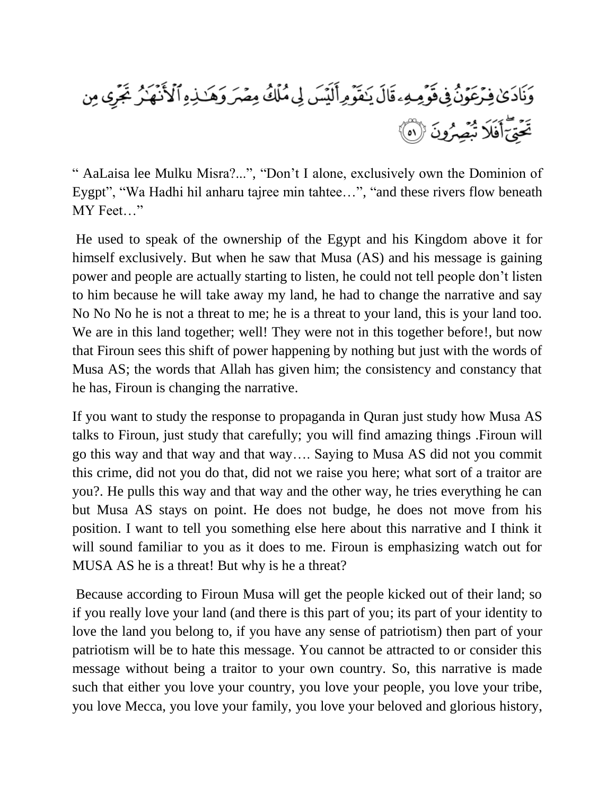

" AaLaisa lee Mulku Misra?...", "Don't I alone, exclusively own the Dominion of Eygpt", "Wa Hadhi hil anharu tajree min tahtee…", "and these rivers flow beneath MY Feet…"

He used to speak of the ownership of the Egypt and his Kingdom above it for himself exclusively. But when he saw that Musa (AS) and his message is gaining power and people are actually starting to listen, he could not tell people don't listen to him because he will take away my land, he had to change the narrative and say No No No he is not a threat to me; he is a threat to your land, this is your land too. We are in this land together; well! They were not in this together before!, but now that Firoun sees this shift of power happening by nothing but just with the words of Musa AS; the words that Allah has given him; the consistency and constancy that he has, Firoun is changing the narrative.

If you want to study the response to propaganda in Quran just study how Musa AS talks to Firoun, just study that carefully; you will find amazing things .Firoun will go this way and that way and that way…. Saying to Musa AS did not you commit this crime, did not you do that, did not we raise you here; what sort of a traitor are you?. He pulls this way and that way and the other way, he tries everything he can but Musa AS stays on point. He does not budge, he does not move from his position. I want to tell you something else here about this narrative and I think it will sound familiar to you as it does to me. Firoun is emphasizing watch out for MUSA AS he is a threat! But why is he a threat?

Because according to Firoun Musa will get the people kicked out of their land; so if you really love your land (and there is this part of you; its part of your identity to love the land you belong to, if you have any sense of patriotism) then part of your patriotism will be to hate this message. You cannot be attracted to or consider this message without being a traitor to your own country. So, this narrative is made such that either you love your country, you love your people, you love your tribe, you love Mecca, you love your family, you love your beloved and glorious history,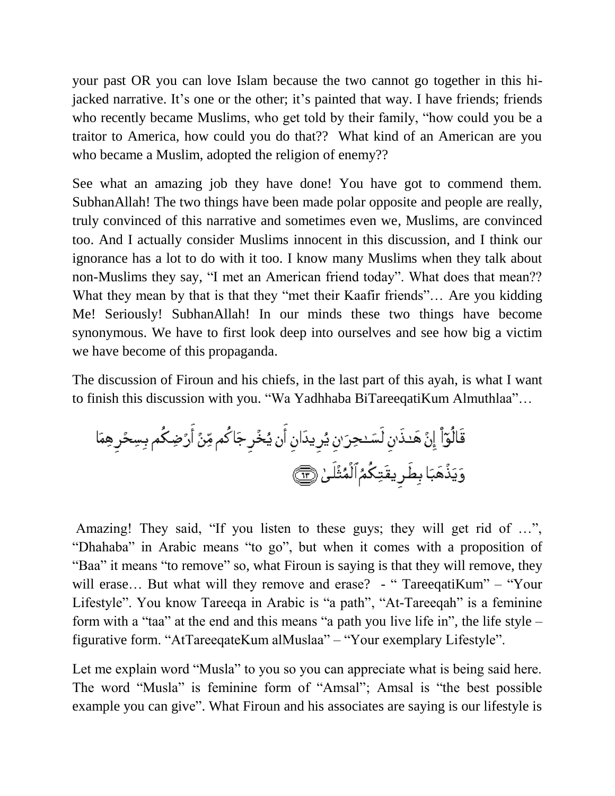your past OR you can love Islam because the two cannot go together in this hijacked narrative. It's one or the other; it's painted that way. I have friends; friends who recently became Muslims, who get told by their family, "how could you be a traitor to America, how could you do that?? What kind of an American are you who became a Muslim, adopted the religion of enemy??

See what an amazing job they have done! You have got to commend them. SubhanAllah! The two things have been made polar opposite and people are really, truly convinced of this narrative and sometimes even we, Muslims, are convinced too. And I actually consider Muslims innocent in this discussion, and I think our ignorance has a lot to do with it too. I know many Muslims when they talk about non-Muslims they say, "I met an American friend today". What does that mean?? What they mean by that is that they "met their Kaafir friends"... Are you kidding Me! Seriously! SubhanAllah! In our minds these two things have become synonymous. We have to first look deep into ourselves and see how big a victim we have become of this propaganda.

The discussion of Firoun and his chiefs, in the last part of this ayah, is what I want to finish this discussion with you. "Wa Yadhhaba BiTareeqatiKum Almuthlaa"…

Amazing! They said, "If you listen to these guys; they will get rid of ...", "Dhahaba" in Arabic means "to go", but when it comes with a proposition of "Baa" it means "to remove" so, what Firoun is saying is that they will remove, they will erase... But what will they remove and erase? - "TareeqatiKum" – "Your Lifestyle". You know Tareeqa in Arabic is "a path", "At-Tareeqah" is a feminine form with a "taa" at the end and this means "a path you live life in", the life style – figurative form. "AtTareeqateKum alMuslaa" – "Your exemplary Lifestyle".

Let me explain word "Musla" to you so you can appreciate what is being said here. The word "Musla" is feminine form of "Amsal"; Amsal is "the best possible example you can give". What Firoun and his associates are saying is our lifestyle is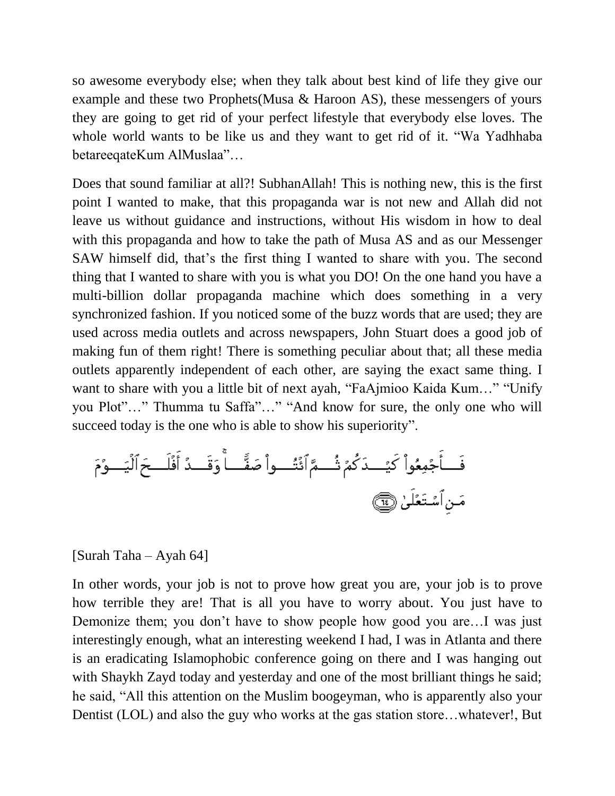so awesome everybody else; when they talk about best kind of life they give our example and these two Prophets(Musa & Haroon AS), these messengers of yours they are going to get rid of your perfect lifestyle that everybody else loves. The whole world wants to be like us and they want to get rid of it. "Wa Yadhhaba betareeqateKum AlMuslaa"…

Does that sound familiar at all?! SubhanAllah! This is nothing new, this is the first point I wanted to make, that this propaganda war is not new and Allah did not leave us without guidance and instructions, without His wisdom in how to deal with this propaganda and how to take the path of Musa AS and as our Messenger SAW himself did, that's the first thing I wanted to share with you. The second thing that I wanted to share with you is what you DO! On the one hand you have a multi-billion dollar propaganda machine which does something in a very synchronized fashion. If you noticed some of the buzz words that are used; they are used across media outlets and across newspapers, John Stuart does a good job of making fun of them right! There is something peculiar about that; all these media outlets apparently independent of each other, are saying the exact same thing. I want to share with you a little bit of next ayah, "FaAjmioo Kaida Kum…" "Unify you Plot"…" Thumma tu Saffa"…" "And know for sure, the only one who will succeed today is the one who is able to show his superiority".

فَ أَجُمِعُواٌ كَيُــدَ كُمُ تُُــمَّ اَنُتُــواٌ صَفَّــاً وَقَــدُ أَفََلَــحَالَيَــوُمَ
$$
مَنِ اَسُتَعُلَىٰ وَهَ
$$

## [Surah Taha – Ayah 64]

In other words, your job is not to prove how great you are, your job is to prove how terrible they are! That is all you have to worry about. You just have to Demonize them; you don't have to show people how good you are…I was just interestingly enough, what an interesting weekend I had, I was in Atlanta and there is an eradicating Islamophobic conference going on there and I was hanging out with Shaykh Zayd today and yesterday and one of the most brilliant things he said; he said, "All this attention on the Muslim boogeyman, who is apparently also your Dentist (LOL) and also the guy who works at the gas station store…whatever!, But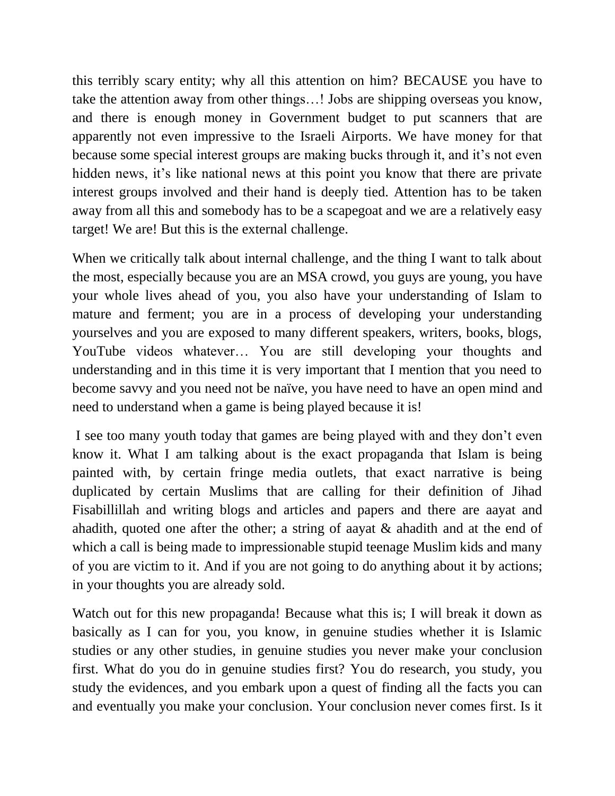this terribly scary entity; why all this attention on him? BECAUSE you have to take the attention away from other things…! Jobs are shipping overseas you know, and there is enough money in Government budget to put scanners that are apparently not even impressive to the Israeli Airports. We have money for that because some special interest groups are making bucks through it, and it's not even hidden news, it's like national news at this point you know that there are private interest groups involved and their hand is deeply tied. Attention has to be taken away from all this and somebody has to be a scapegoat and we are a relatively easy target! We are! But this is the external challenge.

When we critically talk about internal challenge, and the thing I want to talk about the most, especially because you are an MSA crowd, you guys are young, you have your whole lives ahead of you, you also have your understanding of Islam to mature and ferment; you are in a process of developing your understanding yourselves and you are exposed to many different speakers, writers, books, blogs, YouTube videos whatever… You are still developing your thoughts and understanding and in this time it is very important that I mention that you need to become savvy and you need not be naïve, you have need to have an open mind and need to understand when a game is being played because it is!

I see too many youth today that games are being played with and they don't even know it. What I am talking about is the exact propaganda that Islam is being painted with, by certain fringe media outlets, that exact narrative is being duplicated by certain Muslims that are calling for their definition of Jihad Fisabillillah and writing blogs and articles and papers and there are aayat and ahadith, quoted one after the other; a string of aayat & ahadith and at the end of which a call is being made to impressionable stupid teenage Muslim kids and many of you are victim to it. And if you are not going to do anything about it by actions; in your thoughts you are already sold.

Watch out for this new propaganda! Because what this is; I will break it down as basically as I can for you, you know, in genuine studies whether it is Islamic studies or any other studies, in genuine studies you never make your conclusion first. What do you do in genuine studies first? You do research, you study, you study the evidences, and you embark upon a quest of finding all the facts you can and eventually you make your conclusion. Your conclusion never comes first. Is it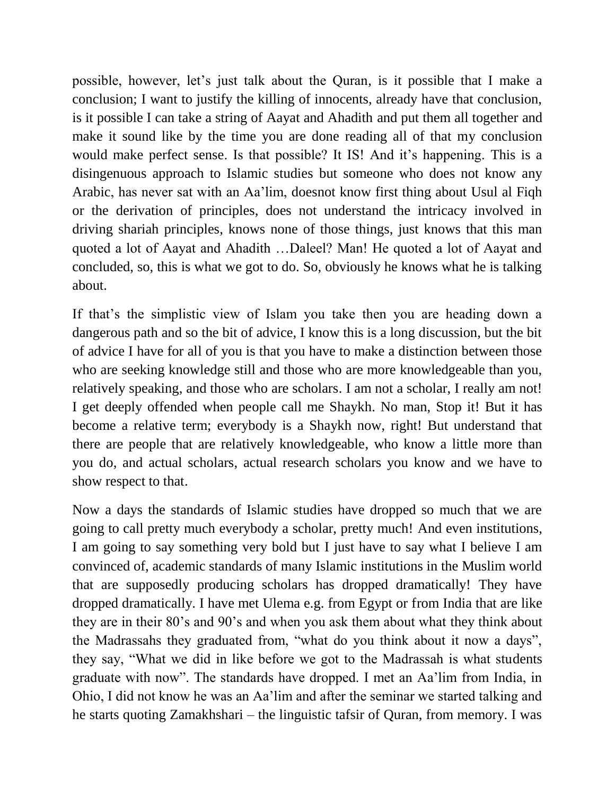possible, however, let's just talk about the Quran, is it possible that I make a conclusion; I want to justify the killing of innocents, already have that conclusion, is it possible I can take a string of Aayat and Ahadith and put them all together and make it sound like by the time you are done reading all of that my conclusion would make perfect sense. Is that possible? It IS! And it's happening. This is a disingenuous approach to Islamic studies but someone who does not know any Arabic, has never sat with an Aa'lim, doesnot know first thing about Usul al Fiqh or the derivation of principles, does not understand the intricacy involved in driving shariah principles, knows none of those things, just knows that this man quoted a lot of Aayat and Ahadith …Daleel? Man! He quoted a lot of Aayat and concluded, so, this is what we got to do. So, obviously he knows what he is talking about.

If that's the simplistic view of Islam you take then you are heading down a dangerous path and so the bit of advice, I know this is a long discussion, but the bit of advice I have for all of you is that you have to make a distinction between those who are seeking knowledge still and those who are more knowledgeable than you, relatively speaking, and those who are scholars. I am not a scholar, I really am not! I get deeply offended when people call me Shaykh. No man, Stop it! But it has become a relative term; everybody is a Shaykh now, right! But understand that there are people that are relatively knowledgeable, who know a little more than you do, and actual scholars, actual research scholars you know and we have to show respect to that.

Now a days the standards of Islamic studies have dropped so much that we are going to call pretty much everybody a scholar, pretty much! And even institutions, I am going to say something very bold but I just have to say what I believe I am convinced of, academic standards of many Islamic institutions in the Muslim world that are supposedly producing scholars has dropped dramatically! They have dropped dramatically. I have met Ulema e.g. from Egypt or from India that are like they are in their 80's and 90's and when you ask them about what they think about the Madrassahs they graduated from, "what do you think about it now a days", they say, "What we did in like before we got to the Madrassah is what students graduate with now". The standards have dropped. I met an Aa'lim from India, in Ohio, I did not know he was an Aa'lim and after the seminar we started talking and he starts quoting Zamakhshari – the linguistic tafsir of Quran, from memory. I was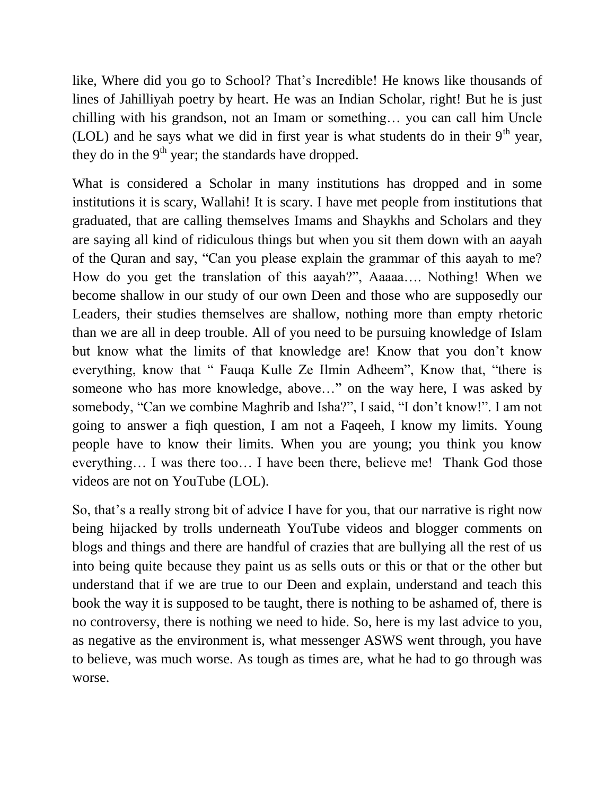like, Where did you go to School? That's Incredible! He knows like thousands of lines of Jahilliyah poetry by heart. He was an Indian Scholar, right! But he is just chilling with his grandson, not an Imam or something… you can call him Uncle (LOL) and he says what we did in first year is what students do in their  $9<sup>th</sup>$  year, they do in the  $9<sup>th</sup>$  year; the standards have dropped.

What is considered a Scholar in many institutions has dropped and in some institutions it is scary, Wallahi! It is scary. I have met people from institutions that graduated, that are calling themselves Imams and Shaykhs and Scholars and they are saying all kind of ridiculous things but when you sit them down with an aayah of the Quran and say, "Can you please explain the grammar of this aayah to me? How do you get the translation of this aayah?", Aaaaa…. Nothing! When we become shallow in our study of our own Deen and those who are supposedly our Leaders, their studies themselves are shallow, nothing more than empty rhetoric than we are all in deep trouble. All of you need to be pursuing knowledge of Islam but know what the limits of that knowledge are! Know that you don't know everything, know that " Fauqa Kulle Ze Ilmin Adheem", Know that, "there is someone who has more knowledge, above…" on the way here, I was asked by somebody, "Can we combine Maghrib and Isha?", I said, "I don't know!". I am not going to answer a fiqh question, I am not a Faqeeh, I know my limits. Young people have to know their limits. When you are young; you think you know everything… I was there too… I have been there, believe me! Thank God those videos are not on YouTube (LOL).

So, that's a really strong bit of advice I have for you, that our narrative is right now being hijacked by trolls underneath YouTube videos and blogger comments on blogs and things and there are handful of crazies that are bullying all the rest of us into being quite because they paint us as sells outs or this or that or the other but understand that if we are true to our Deen and explain, understand and teach this book the way it is supposed to be taught, there is nothing to be ashamed of, there is no controversy, there is nothing we need to hide. So, here is my last advice to you, as negative as the environment is, what messenger ASWS went through, you have to believe, was much worse. As tough as times are, what he had to go through was worse.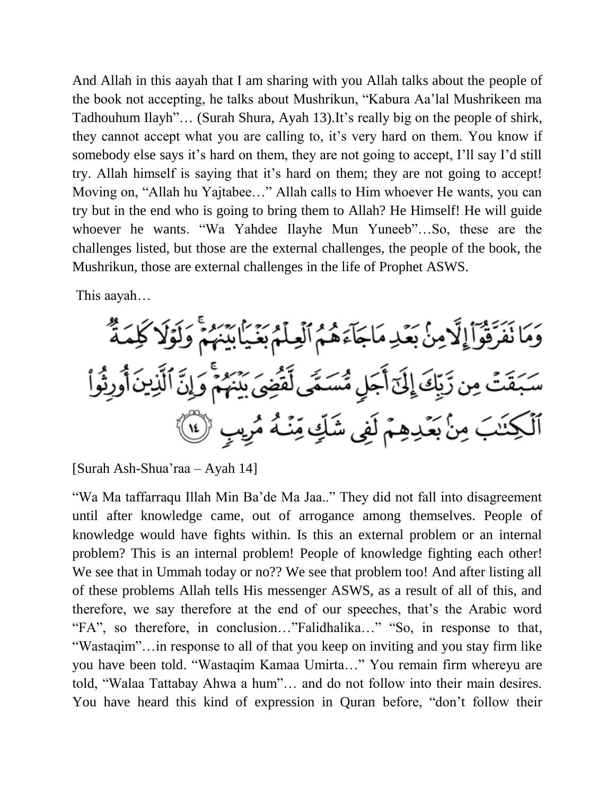And Allah in this aayah that I am sharing with you Allah talks about the people of the book not accepting, he talks about Mushrikun, "Kabura Aa'lal Mushrikeen ma Tadhouhum Ilayh"… (Surah Shura, Ayah 13).It's really big on the people of shirk, they cannot accept what you are calling to, it's very hard on them. You know if somebody else says it's hard on them, they are not going to accept, I'll say I'd still try. Allah himself is saying that it's hard on them; they are not going to accept! Moving on, "Allah hu Yajtabee…" Allah calls to Him whoever He wants, you can try but in the end who is going to bring them to Allah? He Himself! He will guide whoever he wants. "Wa Yahdee Ilayhe Mun Yuneeb"…So, these are the challenges listed, but those are the external challenges, the people of the book, the Mushrikun, those are external challenges in the life of Prophet ASWS.

This aayah…

وَمَا نَفَرَّقُواْ إِلَّامِنْ بَعَْدِ مَاجَآءَهُمُ ٱلۡعِلۡمُ بَغَيَابِيَّنَهُمۡ وَلَوۡلَا كَلِمَةٌ سَبَقَتۡ مِن رَّبِّكَ إِلَىٓ أَجَلٍ مُّسَمًّى لِّقَضِىَ بَيْنَهُمۡۚ وَإِنَّ ٱلَّذِينَ أُورِثُواْ ٱلۡكِنَٰبَ مِنۡ بَعۡدِهِمۡ لَفِي شَكِّ مِّنۡـٰهُ مُرِسٍ ۚ لَٰٓا ﴾

[Surah Ash-Shua'raa – Ayah 14]

"Wa Ma taffarraqu Illah Min Ba'de Ma Jaa.." They did not fall into disagreement until after knowledge came, out of arrogance among themselves. People of knowledge would have fights within. Is this an external problem or an internal problem? This is an internal problem! People of knowledge fighting each other! We see that in Ummah today or no?? We see that problem too! And after listing all of these problems Allah tells His messenger ASWS, as a result of all of this, and therefore, we say therefore at the end of our speeches, that's the Arabic word "FA", so therefore, in conclusion…"Falidhalika…" "So, in response to that, "Wastaqim"…in response to all of that you keep on inviting and you stay firm like you have been told. "Wastaqim Kamaa Umirta…" You remain firm whereyu are told, "Walaa Tattabay Ahwa a hum"… and do not follow into their main desires. You have heard this kind of expression in Quran before, "don't follow their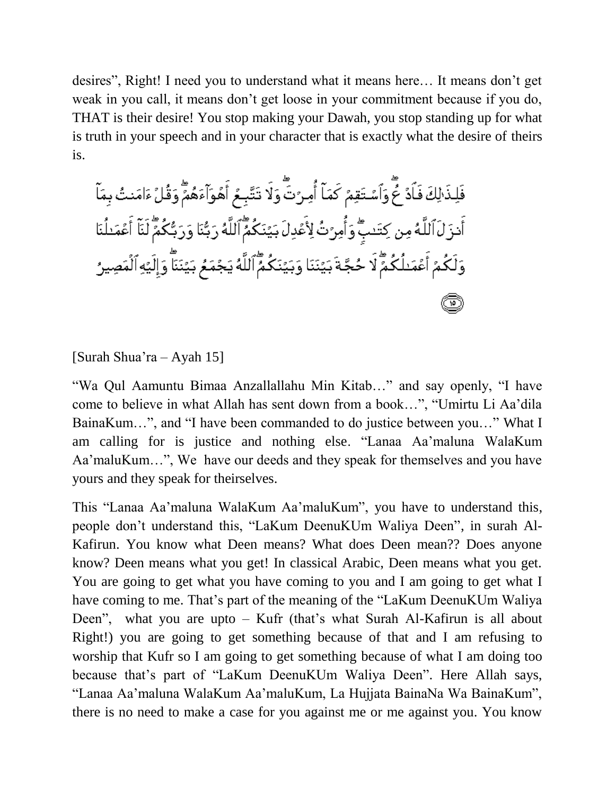desires", Right! I need you to understand what it means here… It means don't get weak in you call, it means don't get loose in your commitment because if you do, THAT is their desire! You stop making your Dawah, you stop standing up for what is truth in your speech and in your character that is exactly what the desire of theirs is.

فَلِذَٰ لِكَ فَأَدٌ خُّ وَٱسْتَقِمٌ كَمَآ أُمِرُتَۖ وَلَا تَتَّبِعُ أَهُوَآءَهُمَّ وَقُلْءَامَنتُ بِمَآ أَنزَ لَ ٱللَّهُ مِن كِتَنبٌّ وَأُمِرَّتُ لِأَعُدِلَ بَيَّنَكُمٌّ ٱللَّهُ رَبُّنَا وَرَبُّكُمٌّ لَنَآ أَعْمَنلُنَا وَلَكُمُ أَعُمَـْلُكُمٌّ لَا حُجَّةَ بَيُنَنَا وَبَيَّنَكُمٌّ ٱللَّهُ يَجْمَعُ بَيَّنَنَّا وَإِلَيْهِ ٱلْمَصِيرُ ☎

[Surah Shua'ra – Ayah 15]

"Wa Qul Aamuntu Bimaa Anzallallahu Min Kitab…" and say openly, "I have come to believe in what Allah has sent down from a book…", "Umirtu Li Aa'dila BainaKum…", and "I have been commanded to do justice between you…" What I am calling for is justice and nothing else. "Lanaa Aa'maluna WalaKum Aa'maluKum…", We have our deeds and they speak for themselves and you have yours and they speak for theirselves.

This "Lanaa Aa'maluna WalaKum Aa'maluKum", you have to understand this, people don't understand this, "LaKum DeenuKUm Waliya Deen", in surah Al-Kafirun. You know what Deen means? What does Deen mean?? Does anyone know? Deen means what you get! In classical Arabic, Deen means what you get. You are going to get what you have coming to you and I am going to get what I have coming to me. That's part of the meaning of the "LaKum DeenuKUm Waliya Deen", what you are upto – Kufr (that's what Surah Al-Kafirun is all about Right!) you are going to get something because of that and I am refusing to worship that Kufr so I am going to get something because of what I am doing too because that's part of "LaKum DeenuKUm Waliya Deen". Here Allah says, "Lanaa Aa'maluna WalaKum Aa'maluKum, La Hujjata BainaNa Wa BainaKum", there is no need to make a case for you against me or me against you. You know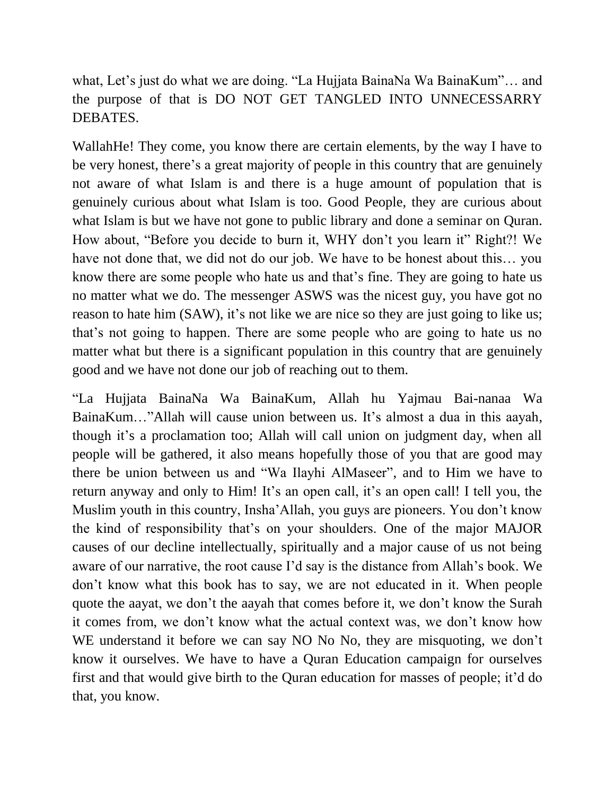what, Let's just do what we are doing. "La Hujjata BainaNa Wa BainaKum"… and the purpose of that is DO NOT GET TANGLED INTO UNNECESSARRY DEBATES.

WallahHe! They come, you know there are certain elements, by the way I have to be very honest, there's a great majority of people in this country that are genuinely not aware of what Islam is and there is a huge amount of population that is genuinely curious about what Islam is too. Good People, they are curious about what Islam is but we have not gone to public library and done a seminar on Quran. How about, "Before you decide to burn it, WHY don't you learn it" Right?! We have not done that, we did not do our job. We have to be honest about this… you know there are some people who hate us and that's fine. They are going to hate us no matter what we do. The messenger ASWS was the nicest guy, you have got no reason to hate him (SAW), it's not like we are nice so they are just going to like us; that's not going to happen. There are some people who are going to hate us no matter what but there is a significant population in this country that are genuinely good and we have not done our job of reaching out to them.

"La Hujjata BainaNa Wa BainaKum, Allah hu Yajmau Bai-nanaa Wa BainaKum…"Allah will cause union between us. It's almost a dua in this aayah, though it's a proclamation too; Allah will call union on judgment day, when all people will be gathered, it also means hopefully those of you that are good may there be union between us and "Wa Ilayhi AlMaseer", and to Him we have to return anyway and only to Him! It's an open call, it's an open call! I tell you, the Muslim youth in this country, Insha'Allah, you guys are pioneers. You don't know the kind of responsibility that's on your shoulders. One of the major MAJOR causes of our decline intellectually, spiritually and a major cause of us not being aware of our narrative, the root cause I'd say is the distance from Allah's book. We don't know what this book has to say, we are not educated in it. When people quote the aayat, we don't the aayah that comes before it, we don't know the Surah it comes from, we don't know what the actual context was, we don't know how WE understand it before we can say NO No No, they are misquoting, we don't know it ourselves. We have to have a Quran Education campaign for ourselves first and that would give birth to the Quran education for masses of people; it'd do that, you know.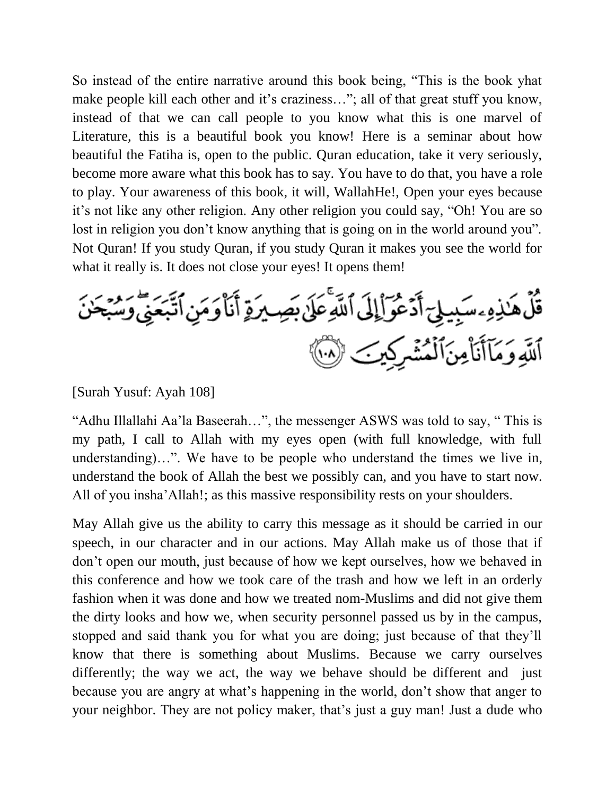So instead of the entire narrative around this book being, "This is the book yhat make people kill each other and it's craziness..."; all of that great stuff you know, instead of that we can call people to you know what this is one marvel of Literature, this is a beautiful book you know! Here is a seminar about how beautiful the Fatiha is, open to the public. Quran education, take it very seriously, become more aware what this book has to say. You have to do that, you have a role to play. Your awareness of this book, it will, WallahHe!, Open your eyes because it's not like any other religion. Any other religion you could say, "Oh! You are so lost in religion you don't know anything that is going on in the world around you". Not Quran! If you study Quran, if you study Quran it makes you see the world for what it really is. It does not close your eyes! It opens them!

قُلُ هَٰذِهِۦسَبِيلِيٓ أَدۡعُوٓا۟إِلَى ٱللَّهِۚعَلَىٰ بِصِيرَةٍ أَنَا۠وَمَنِ ٱتَّبَعَنِّيٓ وَ ٱللَّهِ وَمَآأَنَا۠مِنَٱلۡمُشۡرِكِينَ ۞

## [Surah Yusuf: Ayah 108]

"Adhu Illallahi Aa'la Baseerah…", the messenger ASWS was told to say, " This is my path, I call to Allah with my eyes open (with full knowledge, with full understanding)…". We have to be people who understand the times we live in, understand the book of Allah the best we possibly can, and you have to start now. All of you insha'Allah!; as this massive responsibility rests on your shoulders.

May Allah give us the ability to carry this message as it should be carried in our speech, in our character and in our actions. May Allah make us of those that if don't open our mouth, just because of how we kept ourselves, how we behaved in this conference and how we took care of the trash and how we left in an orderly fashion when it was done and how we treated nom-Muslims and did not give them the dirty looks and how we, when security personnel passed us by in the campus, stopped and said thank you for what you are doing; just because of that they'll know that there is something about Muslims. Because we carry ourselves differently; the way we act, the way we behave should be different and just because you are angry at what's happening in the world, don't show that anger to your neighbor. They are not policy maker, that's just a guy man! Just a dude who